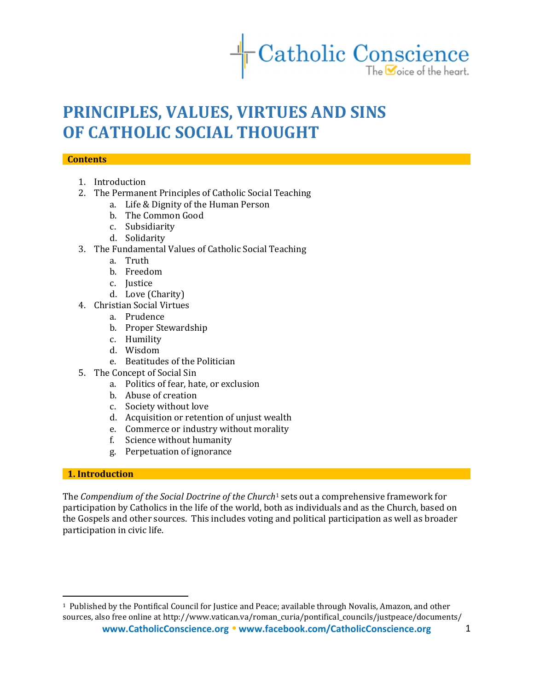

# PRINCIPLES, VALUES, VIRTUES AND SINS OF CATHOLIC SOCIAL THOUGHT

#### **Contents**

- 1. Introduction
- 2. The Permanent Principles of Catholic Social Teaching
	- a. Life & Dignity of the Human Person
	- b. The Common Good
	- c. Subsidiarity
	- d. Solidarity
- 3. The Fundamental Values of Catholic Social Teaching
	- a. Truth
	- b. Freedom
	- c. Justice
	- d. Love (Charity)
- 4. Christian Social Virtues
	- a. Prudence
	- b. Proper Stewardship
	- c. Humility
	- d. Wisdom
	- e. Beatitudes of the Politician
- 5. The Concept of Social Sin
	- a. Politics of fear, hate, or exclusion
	- b. Abuse of creation
	- c. Society without love
	- d. Acquisition or retention of unjust wealth
	- e. Commerce or industry without morality
	- f. Science without humanity
	- g. Perpetuation of ignorance

#### 1. Introduction

l

The Compendium of the Social Doctrine of the Church<sup>1</sup> sets out a comprehensive framework for participation by Catholics in the life of the world, both as individuals and as the Church, based on the Gospels and other sources. This includes voting and political participation as well as broader participation in civic life.

<sup>1</sup> Published by the Pontifical Council for Justice and Peace; available through Novalis, Amazon, and other sources, also free online at http://www.vatican.va/roman\_curia/pontifical\_councils/justpeace/documents/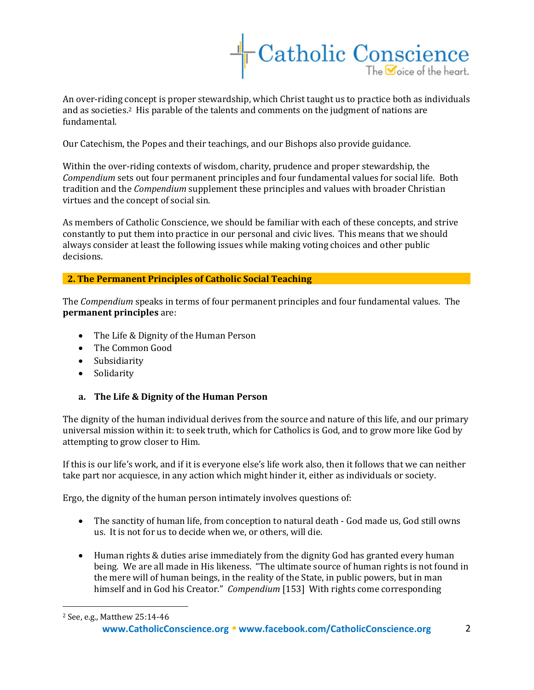

An over-riding concept is proper stewardship, which Christ taught us to practice both as individuals and as societies.2 His parable of the talents and comments on the judgment of nations are fundamental.

Our Catechism, the Popes and their teachings, and our Bishops also provide guidance.

Within the over-riding contexts of wisdom, charity, prudence and proper stewardship, the Compendium sets out four permanent principles and four fundamental values for social life. Both tradition and the Compendium supplement these principles and values with broader Christian virtues and the concept of social sin.

As members of Catholic Conscience, we should be familiar with each of these concepts, and strive constantly to put them into practice in our personal and civic lives. This means that we should always consider at least the following issues while making voting choices and other public decisions.

2. The Permanent Principles of Catholic Social Teaching

The Compendium speaks in terms of four permanent principles and four fundamental values. The permanent principles are:

- The Life & Dignity of the Human Person
- The Common Good
- Subsidiarity
- Solidarity

a. The Life & Dignity of the Human Person

The dignity of the human individual derives from the source and nature of this life, and our primary universal mission within it: to seek truth, which for Catholics is God, and to grow more like God by attempting to grow closer to Him.

If this is our life's work, and if it is everyone else's life work also, then it follows that we can neither take part nor acquiesce, in any action which might hinder it, either as individuals or society.

Ergo, the dignity of the human person intimately involves questions of:

- The sanctity of human life, from conception to natural death God made us, God still owns us. It is not for us to decide when we, or others, will die.
- Human rights & duties arise immediately from the dignity God has granted every human being. We are all made in His likeness. "The ultimate source of human rights is not found in the mere will of human beings, in the reality of the State, in public powers, but in man himself and in God his Creator." Compendium [153] With rights come corresponding

l 2 See, e.g., Matthew 25:14-46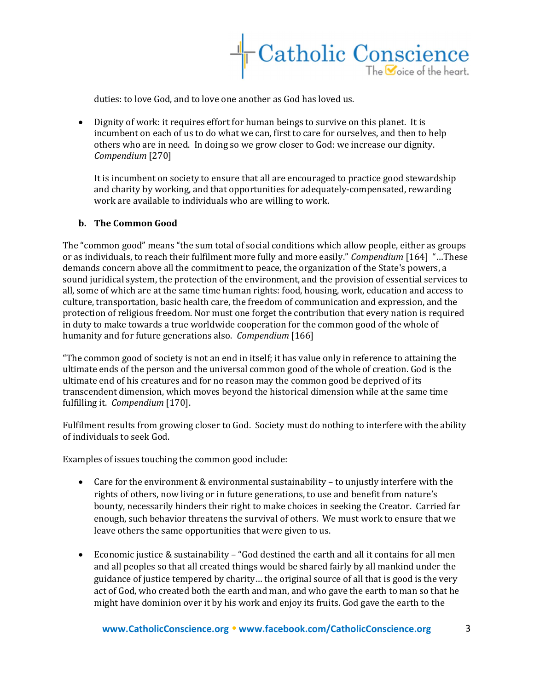

duties: to love God, and to love one another as God has loved us.

 Dignity of work: it requires effort for human beings to survive on this planet. It is incumbent on each of us to do what we can, first to care for ourselves, and then to help others who are in need. In doing so we grow closer to God: we increase our dignity. Compendium [270]

It is incumbent on society to ensure that all are encouraged to practice good stewardship and charity by working, and that opportunities for adequately-compensated, rewarding work are available to individuals who are willing to work.

#### b. The Common Good

The "common good" means "the sum total of social conditions which allow people, either as groups or as individuals, to reach their fulfilment more fully and more easily." Compendium [164] "…These demands concern above all the commitment to peace, the organization of the State's powers, a sound juridical system, the protection of the environment, and the provision of essential services to all, some of which are at the same time human rights: food, housing, work, education and access to culture, transportation, basic health care, the freedom of communication and expression, and the protection of religious freedom. Nor must one forget the contribution that every nation is required in duty to make towards a true worldwide cooperation for the common good of the whole of humanity and for future generations also. Compendium [166]

"The common good of society is not an end in itself; it has value only in reference to attaining the ultimate ends of the person and the universal common good of the whole of creation. God is the ultimate end of his creatures and for no reason may the common good be deprived of its transcendent dimension, which moves beyond the historical dimension while at the same time fulfilling it. Compendium [170].

Fulfilment results from growing closer to God. Society must do nothing to interfere with the ability of individuals to seek God.

Examples of issues touching the common good include:

- Care for the environment & environmental sustainability to unjustly interfere with the rights of others, now living or in future generations, to use and benefit from nature's bounty, necessarily hinders their right to make choices in seeking the Creator. Carried far enough, such behavior threatens the survival of others. We must work to ensure that we leave others the same opportunities that were given to us.
- Economic justice & sustainability "God destined the earth and all it contains for all men and all peoples so that all created things would be shared fairly by all mankind under the guidance of justice tempered by charity… the original source of all that is good is the very act of God, who created both the earth and man, and who gave the earth to man so that he might have dominion over it by his work and enjoy its fruits. God gave the earth to the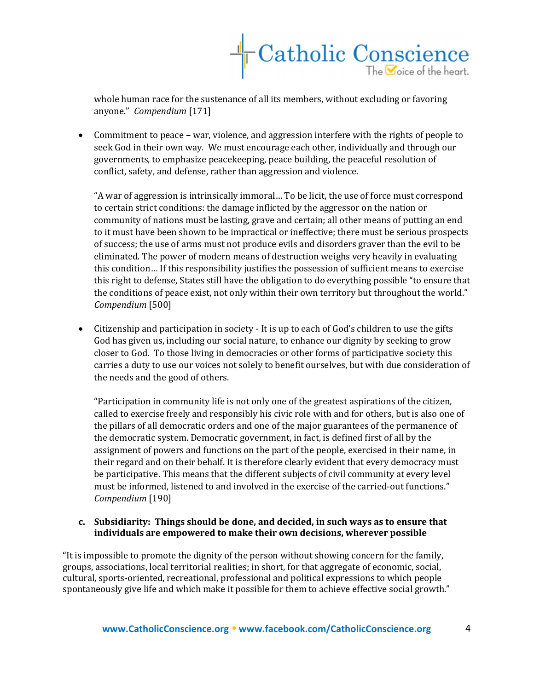

whole human race for the sustenance of all its members, without excluding or favoring anyone." Compendium [171]

 Commitment to peace – war, violence, and aggression interfere with the rights of people to seek God in their own way. We must encourage each other, individually and through our governments, to emphasize peacekeeping, peace building, the peaceful resolution of conflict, safety, and defense, rather than aggression and violence.

"A war of aggression is intrinsically immoral… To be licit, the use of force must correspond to certain strict conditions: the damage inflicted by the aggressor on the nation or community of nations must be lasting, grave and certain; all other means of putting an end to it must have been shown to be impractical or ineffective; there must be serious prospects of success; the use of arms must not produce evils and disorders graver than the evil to be eliminated. The power of modern means of destruction weighs very heavily in evaluating this condition… If this responsibility justifies the possession of sufficient means to exercise this right to defense, States still have the obligation to do everything possible "to ensure that the conditions of peace exist, not only within their own territory but throughout the world." Compendium [500]

 Citizenship and participation in society - It is up to each of God's children to use the gifts God has given us, including our social nature, to enhance our dignity by seeking to grow closer to God. To those living in democracies or other forms of participative society this carries a duty to use our voices not solely to benefit ourselves, but with due consideration of the needs and the good of others.

"Participation in community life is not only one of the greatest aspirations of the citizen, called to exercise freely and responsibly his civic role with and for others, but is also one of the pillars of all democratic orders and one of the major guarantees of the permanence of the democratic system. Democratic government, in fact, is defined first of all by the assignment of powers and functions on the part of the people, exercised in their name, in their regard and on their behalf. It is therefore clearly evident that every democracy must be participative. This means that the different subjects of civil community at every level must be informed, listened to and involved in the exercise of the carried-out functions." Compendium [190]

## c. Subsidiarity: Things should be done, and decided, in such ways as to ensure that individuals are empowered to make their own decisions, wherever possible

"It is impossible to promote the dignity of the person without showing concern for the family, groups, associations, local territorial realities; in short, for that aggregate of economic, social, cultural, sports-oriented, recreational, professional and political expressions to which people spontaneously give life and which make it possible for them to achieve effective social growth."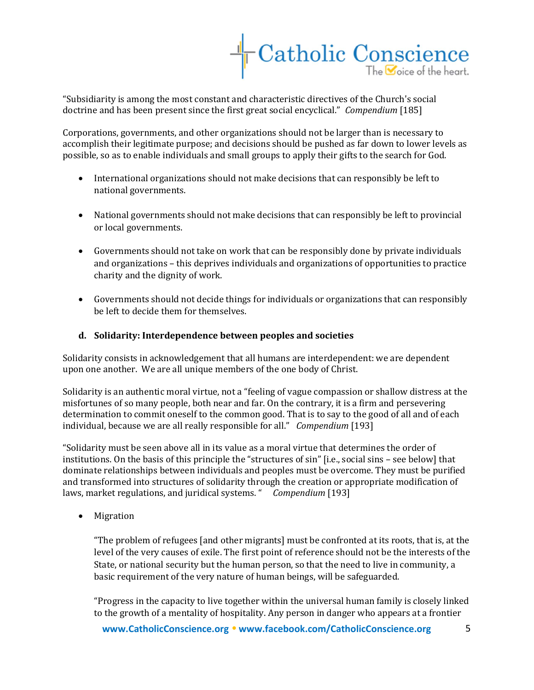

"Subsidiarity is among the most constant and characteristic directives of the Church's social doctrine and has been present since the first great social encyclical." Compendium [185]

Corporations, governments, and other organizations should not be larger than is necessary to accomplish their legitimate purpose; and decisions should be pushed as far down to lower levels as possible, so as to enable individuals and small groups to apply their gifts to the search for God.

- International organizations should not make decisions that can responsibly be left to national governments.
- National governments should not make decisions that can responsibly be left to provincial or local governments.
- Governments should not take on work that can be responsibly done by private individuals and organizations – this deprives individuals and organizations of opportunities to practice charity and the dignity of work.
- Governments should not decide things for individuals or organizations that can responsibly be left to decide them for themselves.

## d. Solidarity: Interdependence between peoples and societies

Solidarity consists in acknowledgement that all humans are interdependent: we are dependent upon one another. We are all unique members of the one body of Christ.

Solidarity is an authentic moral virtue, not a "feeling of vague compassion or shallow distress at the misfortunes of so many people, both near and far. On the contrary, it is a firm and persevering determination to commit oneself to the common good. That is to say to the good of all and of each individual, because we are all really responsible for all." Compendium [193]

"Solidarity must be seen above all in its value as a moral virtue that determines the order of institutions. On the basis of this principle the "structures of sin" [i.e., social sins – see below] that dominate relationships between individuals and peoples must be overcome. They must be purified and transformed into structures of solidarity through the creation or appropriate modification of laws, market regulations, and juridical systems. " Compendium [193]

• Migration

"The problem of refugees [and other migrants] must be confronted at its roots, that is, at the level of the very causes of exile. The first point of reference should not be the interests of the State, or national security but the human person, so that the need to live in community, a basic requirement of the very nature of human beings, will be safeguarded.

"Progress in the capacity to live together within the universal human family is closely linked to the growth of a mentality of hospitality. Any person in danger who appears at a frontier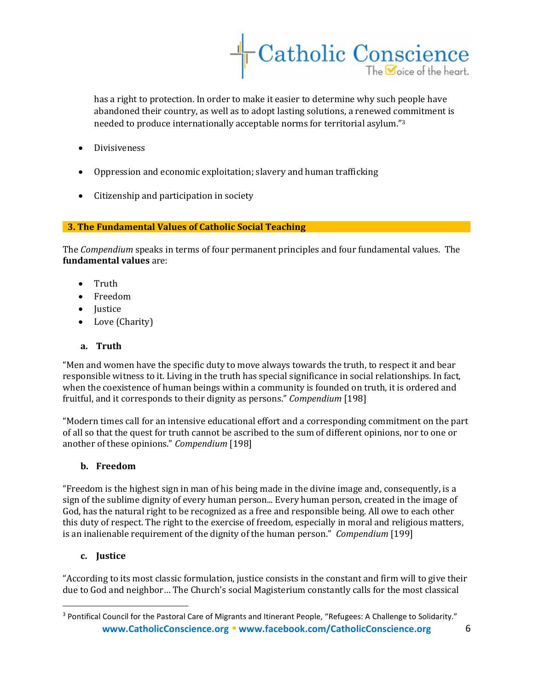

has a right to protection. In order to make it easier to determine why such people have abandoned their country, as well as to adopt lasting solutions, a renewed commitment is needed to produce internationally acceptable norms for territorial asylum."<sup>3</sup>

- **•** Divisiveness
- Oppression and economic exploitation; slavery and human trafficking
- Citizenship and participation in society

### 3. The Fundamental Values of Catholic Social Teaching

The Compendium speaks in terms of four permanent principles and four fundamental values. The fundamental values are:

- Truth
- Freedom
- Justice
- Love (Charity)

## a. Truth

"Men and women have the specific duty to move always towards the truth, to respect it and bear responsible witness to it. Living in the truth has special significance in social relationships. In fact, when the coexistence of human beings within a community is founded on truth, it is ordered and fruitful, and it corresponds to their dignity as persons." Compendium [198]

"Modern times call for an intensive educational effort and a corresponding commitment on the part of all so that the quest for truth cannot be ascribed to the sum of different opinions, nor to one or another of these opinions." Compendium [198]

## b. Freedom

"Freedom is the highest sign in man of his being made in the divine image and, consequently, is a sign of the sublime dignity of every human person... Every human person, created in the image of God, has the natural right to be recognized as a free and responsible being. All owe to each other this duty of respect. The right to the exercise of freedom, especially in moral and religious matters, is an inalienable requirement of the dignity of the human person." Compendium [199]

## c. Justice

l

"According to its most classic formulation, justice consists in the constant and firm will to give their due to God and neighbor… The Church's social Magisterium constantly calls for the most classical

www.CatholicConscience.org • www.facebook.com/CatholicConscience.org 6 <sup>3</sup> Pontifical Council for the Pastoral Care of Migrants and Itinerant People, "Refugees: A Challenge to Solidarity."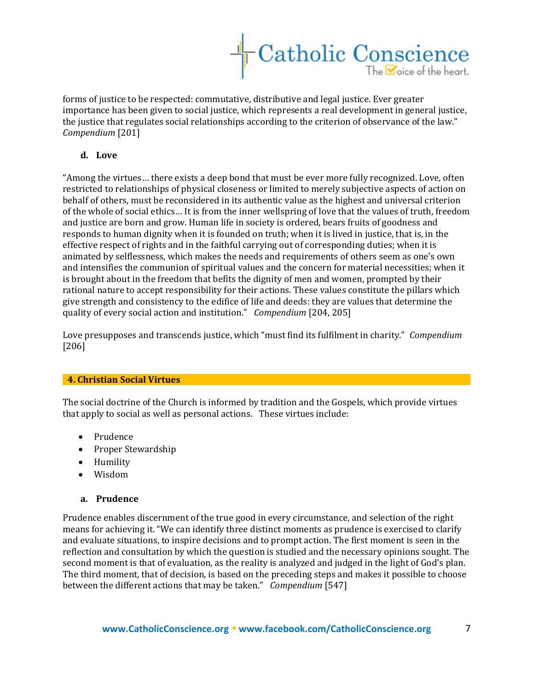

forms of justice to be respected: commutative, distributive and legal justice. Ever greater importance has been given to social justice, which represents a real development in general justice, the justice that regulates social relationships according to the criterion of observance of the law." Compendium [201]

#### d. Love

"Among the virtues… there exists a deep bond that must be ever more fully recognized. Love, often restricted to relationships of physical closeness or limited to merely subjective aspects of action on behalf of others, must be reconsidered in its authentic value as the highest and universal criterion of the whole of social ethics… It is from the inner wellspring of love that the values of truth, freedom and justice are born and grow. Human life in society is ordered, bears fruits of goodness and responds to human dignity when it is founded on truth; when it is lived in justice, that is, in the effective respect of rights and in the faithful carrying out of corresponding duties; when it is animated by selflessness, which makes the needs and requirements of others seem as one's own and intensifies the communion of spiritual values and the concern for material necessities; when it is brought about in the freedom that befits the dignity of men and women, prompted by their rational nature to accept responsibility for their actions. These values constitute the pillars which give strength and consistency to the edifice of life and deeds: they are values that determine the quality of every social action and institution." Compendium [204, 205]

Love presupposes and transcends justice, which "must find its fulfilment in charity." Compendium [206]

#### 4. Christian Social Virtues

The social doctrine of the Church is informed by tradition and the Gospels, which provide virtues that apply to social as well as personal actions. These virtues include:

- Prudence
- Proper Stewardship
- Humility
- Wisdom

#### a. Prudence

Prudence enables discernment of the true good in every circumstance, and selection of the right means for achieving it. "We can identify three distinct moments as prudence is exercised to clarify and evaluate situations, to inspire decisions and to prompt action. The first moment is seen in the reflection and consultation by which the question is studied and the necessary opinions sought. The second moment is that of evaluation, as the reality is analyzed and judged in the light of God's plan. The third moment, that of decision, is based on the preceding steps and makes it possible to choose between the different actions that may be taken." Compendium [547]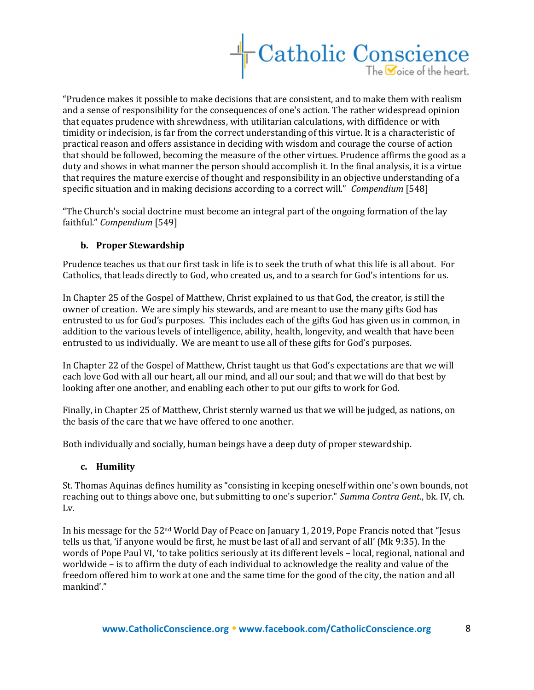

"Prudence makes it possible to make decisions that are consistent, and to make them with realism and a sense of responsibility for the consequences of one's action. The rather widespread opinion that equates prudence with shrewdness, with utilitarian calculations, with diffidence or with timidity or indecision, is far from the correct understanding of this virtue. It is a characteristic of practical reason and offers assistance in deciding with wisdom and courage the course of action that should be followed, becoming the measure of the other virtues. Prudence affirms the good as a duty and shows in what manner the person should accomplish it. In the final analysis, it is a virtue that requires the mature exercise of thought and responsibility in an objective understanding of a specific situation and in making decisions according to a correct will." Compendium [548]

"The Church's social doctrine must become an integral part of the ongoing formation of the lay faithful." Compendium [549]

### b. Proper Stewardship

Prudence teaches us that our first task in life is to seek the truth of what this life is all about. For Catholics, that leads directly to God, who created us, and to a search for God's intentions for us.

In Chapter 25 of the Gospel of Matthew, Christ explained to us that God, the creator, is still the owner of creation. We are simply his stewards, and are meant to use the many gifts God has entrusted to us for God's purposes. This includes each of the gifts God has given us in common, in addition to the various levels of intelligence, ability, health, longevity, and wealth that have been entrusted to us individually. We are meant to use all of these gifts for God's purposes.

In Chapter 22 of the Gospel of Matthew, Christ taught us that God's expectations are that we will each love God with all our heart, all our mind, and all our soul; and that we will do that best by looking after one another, and enabling each other to put our gifts to work for God.

Finally, in Chapter 25 of Matthew, Christ sternly warned us that we will be judged, as nations, on the basis of the care that we have offered to one another.

Both individually and socially, human beings have a deep duty of proper stewardship.

#### c. Humility

St. Thomas Aquinas defines humility as "consisting in keeping oneself within one's own bounds, not reaching out to things above one, but submitting to one's superior." Summa Contra Gent., bk. IV, ch. Lv.

In his message for the 52nd World Day of Peace on January 1, 2019, Pope Francis noted that "Jesus tells us that, 'if anyone would be first, he must be last of all and servant of all' (Mk 9:35). In the words of Pope Paul VI, 'to take politics seriously at its different levels – local, regional, national and worldwide – is to affirm the duty of each individual to acknowledge the reality and value of the freedom offered him to work at one and the same time for the good of the city, the nation and all mankind'."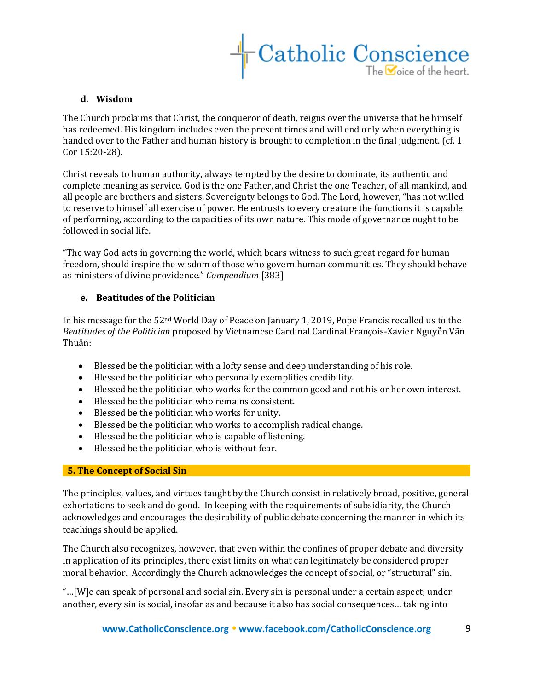

## d. Wisdom

The Church proclaims that Christ, the conqueror of death, reigns over the universe that he himself has redeemed. His kingdom includes even the present times and will end only when everything is handed over to the Father and human history is brought to completion in the final judgment. (cf. 1) Cor 15:20-28).

Christ reveals to human authority, always tempted by the desire to dominate, its authentic and complete meaning as service. God is the one Father, and Christ the one Teacher, of all mankind, and all people are brothers and sisters. Sovereignty belongs to God. The Lord, however, "has not willed to reserve to himself all exercise of power. He entrusts to every creature the functions it is capable of performing, according to the capacities of its own nature. This mode of governance ought to be followed in social life.

"The way God acts in governing the world, which bears witness to such great regard for human freedom, should inspire the wisdom of those who govern human communities. They should behave as ministers of divine providence." Compendium [383]

### e. Beatitudes of the Politician

In his message for the 52nd World Day of Peace on January 1, 2019, Pope Francis recalled us to the Beatitudes of the Politician proposed by Vietnamese Cardinal Cardinal François-Xavier Nguyễn Vãn Thuận:

- Blessed be the politician with a lofty sense and deep understanding of his role.
- Blessed be the politician who personally exemplifies credibility.
- Blessed be the politician who works for the common good and not his or her own interest.
- Blessed be the politician who remains consistent.
- Blessed be the politician who works for unity.
- Blessed be the politician who works to accomplish radical change.
- Blessed be the politician who is capable of listening.
- Blessed be the politician who is without fear.

#### 5. The Concept of Social Sin

The principles, values, and virtues taught by the Church consist in relatively broad, positive, general exhortations to seek and do good. In keeping with the requirements of subsidiarity, the Church acknowledges and encourages the desirability of public debate concerning the manner in which its teachings should be applied.

The Church also recognizes, however, that even within the confines of proper debate and diversity in application of its principles, there exist limits on what can legitimately be considered proper moral behavior. Accordingly the Church acknowledges the concept of social, or "structural" sin.

"…[W]e can speak of personal and social sin. Every sin is personal under a certain aspect; under another, every sin is social, insofar as and because it also has social consequences… taking into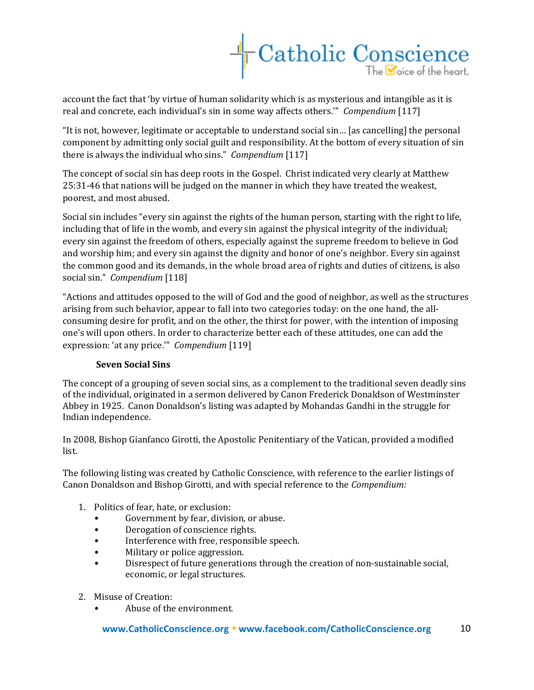

account the fact that 'by virtue of human solidarity which is as mysterious and intangible as it is real and concrete, each individual's sin in some way affects others.'" Compendium [117]

"It is not, however, legitimate or acceptable to understand social sin… [as cancelling] the personal component by admitting only social guilt and responsibility. At the bottom of every situation of sin there is always the individual who sins." Compendium [117]

The concept of social sin has deep roots in the Gospel. Christ indicated very clearly at Matthew 25:31-46 that nations will be judged on the manner in which they have treated the weakest, poorest, and most abused.

Social sin includes "every sin against the rights of the human person, starting with the right to life, including that of life in the womb, and every sin against the physical integrity of the individual; every sin against the freedom of others, especially against the supreme freedom to believe in God and worship him; and every sin against the dignity and honor of one's neighbor. Every sin against the common good and its demands, in the whole broad area of rights and duties of citizens, is also social sin." Compendium [118]

"Actions and attitudes opposed to the will of God and the good of neighbor, as well as the structures arising from such behavior, appear to fall into two categories today: on the one hand, the allconsuming desire for profit, and on the other, the thirst for power, with the intention of imposing one's will upon others. In order to characterize better each of these attitudes, one can add the expression: 'at any price.'" Compendium [119]

## Seven Social Sins

The concept of a grouping of seven social sins, as a complement to the traditional seven deadly sins of the individual, originated in a sermon delivered by Canon Frederick Donaldson of Westminster Abbey in 1925. Canon Donaldson's listing was adapted by Mohandas Gandhi in the struggle for Indian independence.

In 2008, Bishop Gianfanco Girotti, the Apostolic Penitentiary of the Vatican, provided a modified list.

The following listing was created by Catholic Conscience, with reference to the earlier listings of Canon Donaldson and Bishop Girotti, and with special reference to the Compendium:

- 1. Politics of fear, hate, or exclusion:
	- Government by fear, division, or abuse.
	- Derogation of conscience rights.
	- Interference with free, responsible speech.
	- Military or police aggression.
	- Disrespect of future generations through the creation of non-sustainable social, economic, or legal structures.
- 2. Misuse of Creation:
	- Abuse of the environment.